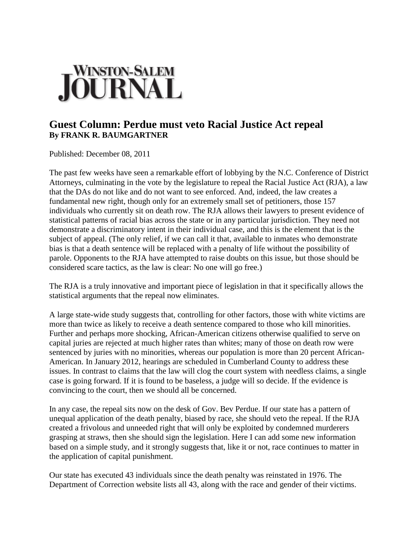## WINSTON-SALEM<br>**OURNAL**

## **Guest Column: Perdue must veto Racial Justice Act repeal By FRANK R. BAUMGARTNER**

Published: December 08, 2011

The past few weeks have seen a remarkable effort of lobbying by the N.C. Conference of District Attorneys, culminating in the vote by the legislature to repeal the Racial Justice Act (RJA), a law that the DAs do not like and do not want to see enforced. And, indeed, the law creates a fundamental new right, though only for an extremely small set of petitioners, those 157 individuals who currently sit on death row. The RJA allows their lawyers to present evidence of statistical patterns of racial bias across the state or in any particular jurisdiction. They need not demonstrate a discriminatory intent in their individual case, and this is the element that is the subject of appeal. (The only relief, if we can call it that, available to inmates who demonstrate bias is that a death sentence will be replaced with a penalty of life without the possibility of parole. Opponents to the RJA have attempted to raise doubts on this issue, but those should be considered scare tactics, as the law is clear: No one will go free.)

The RJA is a truly innovative and important piece of legislation in that it specifically allows the statistical arguments that the repeal now eliminates.

A large state-wide study suggests that, controlling for other factors, those with white victims are more than twice as likely to receive a death sentence compared to those who kill minorities. Further and perhaps more shocking, African-American citizens otherwise qualified to serve on capital juries are rejected at much higher rates than whites; many of those on death row were sentenced by juries with no minorities, whereas our population is more than 20 percent African-American. In January 2012, hearings are scheduled in Cumberland County to address these issues. In contrast to claims that the law will clog the court system with needless claims, a single case is going forward. If it is found to be baseless, a judge will so decide. If the evidence is convincing to the court, then we should all be concerned.

In any case, the repeal sits now on the desk of Gov. Bev Perdue. If our state has a pattern of unequal application of the death penalty, biased by race, she should veto the repeal. If the RJA created a frivolous and unneeded right that will only be exploited by condemned murderers grasping at straws, then she should sign the legislation. Here I can add some new information based on a simple study, and it strongly suggests that, like it or not, race continues to matter in the application of capital punishment.

Our state has executed 43 individuals since the death penalty was reinstated in 1976. The Department of Correction website lists all 43, along with the race and gender of their victims.